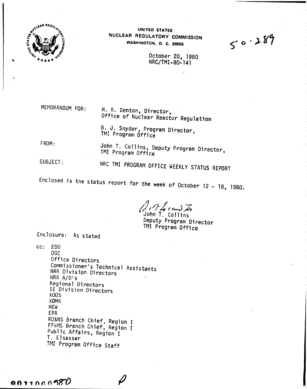

UNITED STATES NUCLEAR REGULATORV COMMISSION WASHINGTON, O. C. 20555

 $5.0.289$ 

October 20, 1980 NRC/TMI-80-141

MEMORANDUM FOR:

H. R. Denton, Director, Office of Nuclear Reactor Regulation

B. J. Snyder, Program Director, TMI Program Office

FROM:

John T. Collins, Deputy Program Director, TMI Program Office

SUBJECT:

NRC TMI PROGRAM OFFICE WEEKLY STATUS REPORT

Enclosed is the status report for the week of October  $12 - 18$ , 1980.

*t:/,/f/ r&-J;;*

John *r:* Collins Deputy Program Director TMI Program Office

Enclosure: As stated

cc: EDO OGC Office Directors Commissioner's Technical Assistants NRR Division- Directors NRR A/D's Regional Directors IE Division Directors XOOS XOMA HEW EPA RO&NS Branch Chief, Region I FF&MS Branch Chief, Region I Public Affairs, Region I T. Elsasser TMI Program Office Staff

 $9011080580$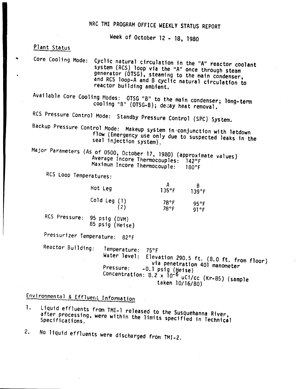## NRC TMI PROGRAM OFFICE WEEKLY STATUS REPORT

Week of October 12 - 18, 1980

## Plant Status

Core Cooling Mode: Cyclic natural circulation in the "A" reactor coolant system (RCS) loop via the "A" once through steam generator (OTSG), steaming to the main condenser, and RCS loop-A and B cyclic natural circulation to reactor building ambient.

Available Core Cooling Modes: OTSG "B" to the main condenser; long-term cooling "B" (OTSG-B); decay heat removal.

RCS Pressure Control Mode: Standby Pressure Control (SPC) System.

Backup Pressure Control Mode: Makeup system in "conjunction with letdown flow (Emergency use only due to suspected leaks in the seal injection system).

Major Parameters (As of 0500, October 17, 1980) (approximate values) Average Incore Thermocouples: 1420F Maximum Incore Thermocouple: 180°F

RCS loop Temperatures:

| Hot Leg      | 135°F          | 139°F |
|--------------|----------------|-------|
| Cold Leg (1) | $78^{\circ}$ F | 95°F  |
| (2)          | $78^{\circ}$ F | 91°F  |

Res Pressure: 95 psig (DVM) 85 psig (Heise)

Pressurizer Temperature: 820F

Reactor Building: Temperature: 75°F<br>Water level: Eleva Elevation 290.5 ft. (8.0 ft. from floor) via penetration 401 manometer<br>-0.1 psig (Heise)  $P$ ressure:  $-0.1$  psig ( $Heise$ ) concentration:  $8.2 \times 10^{-6}$  uCi/cc (Kr-85) (sample taken 10/16/80)

Environmental & Effluent Information

- 1. liquid effluents from TMI-l released to the Susquehanna River, after processing, were within the limits specified in Technical
- 2. No liquid effluents were discharged from TMI-2.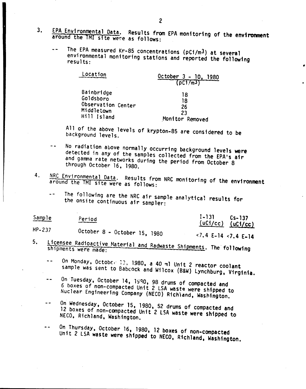- 3. EPA Environmental Data. Results from EPA monitoring of the environment around the TMI site were as follows:
	- The EPA measured Kr-85 concentrations (pCi/m3) at several environmental monitoring stations and reported the following results:

| Location           | October $3 - 10$ ,<br>1980<br>$($ $p$ $C1/m3$ $)$ |  |
|--------------------|---------------------------------------------------|--|
| Bainbridge         | 18                                                |  |
| Goldsboro          | 18                                                |  |
| Observation Center | 26                                                |  |
| Middletown         | 23                                                |  |
| Hill Island        | Monitor Removed                                   |  |

All of the above levels of krypton-8S are considered to be background levels.

- No radiation above normally occurring background levels were  $$ detected in any of the samples collected from the EPA's air and gamma rate networks during the period from October 8 through October 16, 1980.
- 4. NRC Environmental Data. Results from NRC monitoring of the environment around the TMI site were as follows:
	- The following are the NRC air sample analytical results for the onsite continuous air sampler:

| Sample | Period                       | $1 - 131$<br>$(uC1/cc)$ $(uC1/cc)$ | $Cs - 137$ |
|--------|------------------------------|------------------------------------|------------|
| HP-237 | October 8 - October 15, 1980 | $\leq 7.4$ E-14 $\leq 7.4$ E-14    |            |

- 5. Licensee Radioactive Material and Radwaste Shipments. The following
	- On Monday, October 13, 1980, a 40 ml Unit 2 reactor coolant  $\omega$   $\omega$ sample was sent to Babcock and Wilcox (B&W) Lynchburg, Virginia.
	- On Tuesday, October 14, 1990, 98 drums of compacted and  $- -$ 6 boxes of non-compacted Unit 2 LSA waste were shipped to Nuclear Engineering Company (NECO) Rich)and, Washington.
	- On Wednesday, October 15, 1980, 52 drums of compacted and  $-$ 12 boxes of non-compacted Unit 2 lSA waste were shipped to NECO, Richland, Washington.
	- On Thursday, OctOber 16, 1980, 12 boxes of non-compacted  $\sim$   $\sim$ Unit 2 LSA waste were shipped to NECO, Richland, Washington.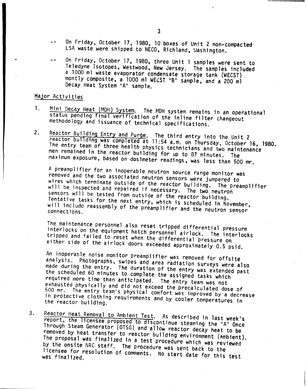- On Friday, October 17, 1980, 10 boxes of Unit 2 non-compacted LSA waste were shipped to NECO, Richland, lIashington.
- On Friday, October 17, 1980, three Unit 1 samples were sent to Teledyne Isotopes, Westwood, New Jersey. The samples included a 1000 ml waste evaporator condensate storage tank (WECST) montly composite, a 1000 ml WECST "B" sample, and a 200 ml Decay Heat System "A" sample.

## Major Activities

- 1. Mini Decay Heat (MDH) System. The MDH system remains in an operational status pending final verification of the inline filter changeout methodology and issuance of technical specifications.
- 2. Reactor Building Entry and Purge. The third entry into the Unit 2 reactor building was completed at 11:54 a.m. on Thursday, October 16, 1980. The entry team of three health physics technicians and two maintenance men remained in the reactor building for up to 87 minutes. The maximum exposure, based on dosimeter readings, was less than 500 mr.

A preamplifier for an inoperable neutron SOurce range monitor was removed and the two associated neutron sensors were jumpered to wires which terminate outside of the reactor building. The preamplifier will be inspected and repaired if necessary. The two neutron sensors will be tested from outside of the reactor building. Tentative tasks for the next entry, which is scheduled in November, will include reassembly of the preamplifier and the neutron sensor

The maintenance personnel also reset tripped differential pressure interlocks on the equipment hatch personnel airlock. The interlocks tripped and failed to reset when the differential pressure on either' side of the airlock doors exceeded approximately 0.5 psid.

An inoperable noise monitor preamplifier was removed for offsite analysis. Photographs, swipes and area radiation surveys were also made during the entry. The duration of the entry was extended past the scheduled 60 minutes to complete the assigned tasks which required more time than anticipated. The entry team was not exhausted physically and did not exceed the precalculated dose of 500 mr. The entry te3m's physical cOmfort was improved by a decrease in protective clothing requirements and by cooler temperatures in the reactor building.

3. Reactor Heat Removal to Ambient Test. As described in last week's report, the licensee proposed to discontinue steaming the "A" Once Through Steam Generator (OTSG) and allow reactor decay heat to be removed by heat transfer to reactor building environment (ambient). The proposal was finalized in a test procedure which was reviewed by the onsite' NRC staff. The procedure was sent back to the licensee for resolution of comments. No start date for this test was finalized.